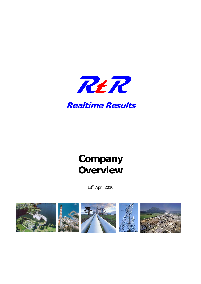

## **Realtime Results**

# **Company Overview**

13th April 2010

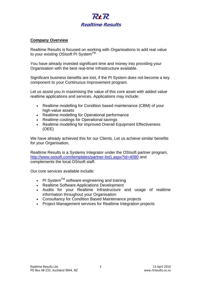

#### **Company Overview**

Realtime Results is focused on working with Organisations to add real value to your existing OSIsoft PI System™

You have already invested significant time and money into providing your Organisation with the best real-time Infrastructure available.

Significant business benefits are lost, if the PI System does not become a key component to your Continuous Improvement program.

Let us assist you in maximising the value of this core asset with added value realtime applications and services. Applications may include:

- Realtime modelling for Condition based maintenance (CBM) of your high-value assets
- Realtime modelling for Operational performance
- Realtime costings for Operational savings
- Realtime modelling for improved Overall Equipment Effectiveness (OEE)

We have already achieved this for our Clients. Let us achieve similar benefits for your Organisation.

Realtime Results is a Systems Integrator under the OSIsoft partner program, http://www.osisoft.com/templates/partner-list1.aspx?id=4080 and complements the local OSIsoft staff.

Our core services available include:

- PI System<sup>TM</sup> software engineering and training
- Realtime Software Applications Development
- Audits for your Realtime Infrastructure and usage of realtime information throughout your Organisation
- Consultancy for Condition Based Maintenance projects
- Project Management services for Realtime Integration projects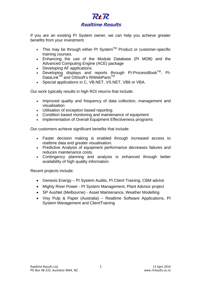

If you are an existing PI System owner, we can help you achieve greater benefits from your investment.

- This may be through either PI System<sup>TM</sup> Product or customer-specific training courses.
- Enhancing the use of the Module Database (PI MDB) and the Advanced Computing Engine (ACE) package
- Developing AF applications
- Developing displays and reports through PI-ProcessBook<sup>TM</sup>, PI-DataLink<sup>™</sup> and OSIsoft's RtWebParts<sup>™</sup>
- Special applications in C, VB.NET, VS.NET, VB6 or VBA.

Our work typically results in high ROI returns that include:

- Improved quality and frequency of data collection, management and visualisation
- Utilisation of exception based reporting
- Condition based monitoring and maintenance of equipment
- Implementation of Overall Equipment Effectiveness programs

Our customers achieve significant benefits that include:

- Faster decision making is enabled through increased access to realtime data and greater visualisation.
- Predictive Analysis of equipment performance decreases failures and reduces maintenance costs.
- Contingency planning and analysis is enhanced through better availability of high quality information.

Recent projects include:

- Genesis Energy PI System Audits, PI Client Training, CBM advice
- Mighty River Power PI System Management, Plant Advisor project
- SP AusNet (Melbourne) Asset Maintenance, Weather Modelling
- Visy Pulp & Paper (Australia) Realtime Software Applications, PI System Management and ClientTraining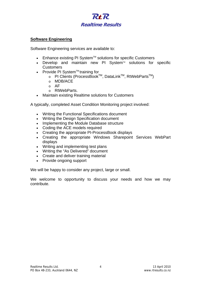

#### **Software Engineering**

Software Engineering services are available to:

- Enhance existing PI System<sup>™</sup> solutions for specific Customers
- Develop and maintain new PI System $M$  solutions for specific **Customers**
- Provide PI System<sup>™</sup> training for
	- $\circ$  PI Clients (ProcessBook™, DataLink™, RtWebParts™)
	- o MDB/ACE
	- o AF
	- o RtWebParts.
- Maintain existing Realtime solutions for Customers

A typically, completed Asset Condition Monitoring project involved:

- Writing the Functional Specifications document
- Writing the Design Specification document
- Implementing the Module Database structure
- Coding the ACE models required
- Creating the appropriate PI-ProcessBook displays
- Creating the appropriate Windows Sharepoint Services WebPart displays
- Writing and implementing test plans
- Writing the "As Delivered" document
- Create and deliver training material
- Provide ongoing support

We will be happy to consider any project, large or small.

We welcome to opportunity to discuss your needs and how we may contribute.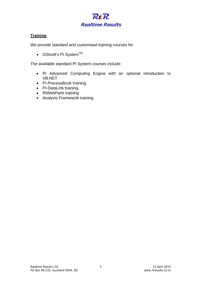

### **Training**

We provide standard and customised training courses for:

• OSIsoft's PI System $TM$ 

The available standard PI System courses include:

- PI Advanced Computing Engine with an optional introduction to VB.NET
- PI-ProcessBook training
- PI-DataLink training
- RtWebParts training
- Analysis Framework training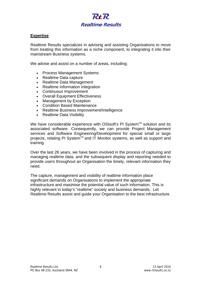

#### **Expertise**

Realtime Results specializes in advising and assisting Organisations to move from treating this information as a niche component, to integrating it into their mainstream Business systems.

We advise and assist on a number of areas, including:

- Process Management Systems
- Realtime Data capture
- Realtime Data Management
- Realtime Information Integration
- Continuous Improvement
- Overall Equipment Effectiveness
- Management by Exception
- Condition Based Maintenance
- Realtime Business Improvement/Intelligence
- Realtime Data Visibility

We have considerable experience with OSIsoft's PI System™ solution and its associated software. Consequently, we can provide Project Management services and Software Engineering/Development for special small or large projects, relating PI System™ and IT Monitor systems, as well as support and training.

Over the last 26 years, we have been involved in the process of capturing and managing realtime data, and the subsequent display and reporting needed to provide users throughout an Organisation the timely, relevant information they need.

The capture, management and visibility of realtime information place significant demands on Organisations to implement the appropriate infrastructure and maximise the potential value of such information. This is highly relevant in today's "realtime" society and business demands. Let Realtime Results assist and guide your Organisation to the best infrastructure.